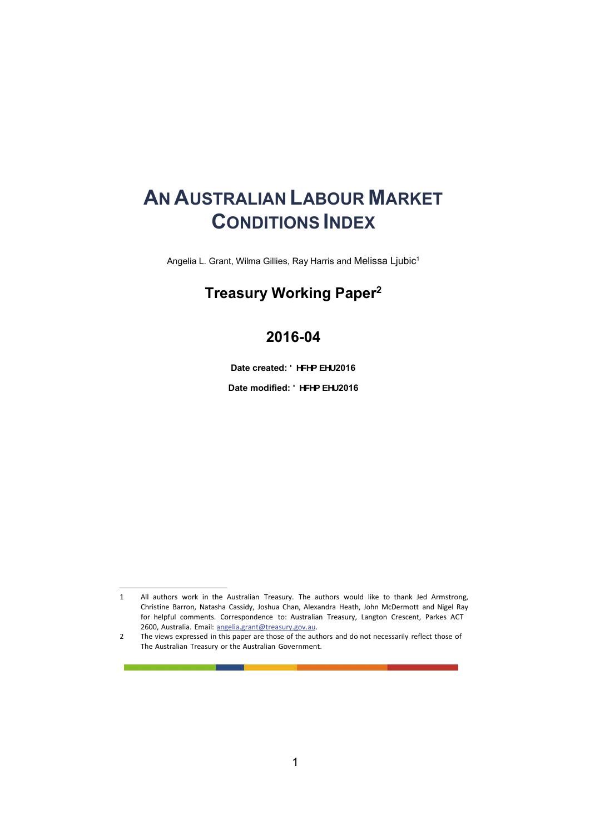# **AN AUSTRALIAN LABOUR MARKET CONDITIONS INDEX**

Angelia L. Grant, Wilma Gillies, Ray Harris and Melissa Ljubic1

### **Treasury Working Paper2**

### **2016-04**

Date created: **8 YWA VYf** 2016

Date modified: **8 YWA VYf** 2016

<sup>1</sup> All authors work in the Australian Treasury. The authors would like to thank Jed Armstrong, Christine Barron, Natasha Cassidy, Joshua Chan, Alexandra Heath, John McDermott and Nigel Ray for helpful comments. Correspondence to: Australian Treasury, Langton Crescent, Parkes ACT 2600, Australia. Email: angelia.grant@treasury.gov.au.

<sup>2</sup> The views expressed in this paper are those of the authors and do not necessarily reflect those of The Australian Treasury or the Australian Government.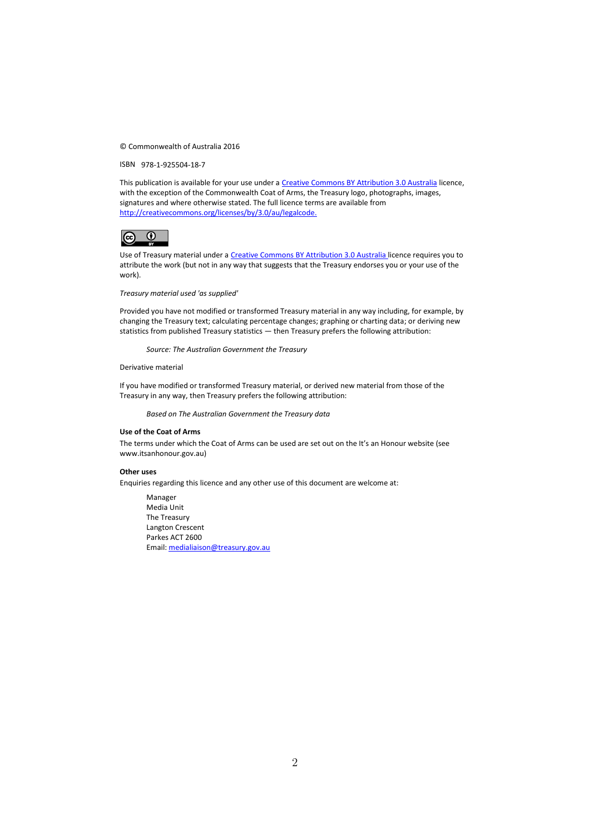© Commonwealth of Australia 2016

ISBN 978-1-925504-18-7

This publication is available for your use under a Creative Commons BY Attribution 3.0 Australia licence, with the exception of the Commonwealth Coat of Arms, the Treasury logo, photographs, images, signatures and where otherwise stated. The full licence terms are available from http://creativecommons.org/licenses/by/3.0/au/legalcode.



Use of Treasury material under a Creative Commons BY Attribution 3.0 Australia licence requires you to attribute the work (but not in any way that suggests that the Treasury endorses you or your use of the work).

*Treasury material used 'as supplied'* 

Provided you have not modified or transformed Treasury material in any way including, for example, by changing the Treasury text; calculating percentage changes; graphing or charting data; or deriving new statistics from published Treasury statistics — then Treasury prefers the following attribution:

*Source: The Australian Government the Treasury*

Derivative material

If you have modified or transformed Treasury material, or derived new material from those of the Treasury in any way, then Treasury prefers the following attribution:

*Based on The Australian Government the Treasury data*

#### **Use of the Coat of Arms**

The terms under which the Coat of Arms can be used are set out on the It's an Honour website (see www.itsanhonour.gov.au)

#### **Other uses**

Enquiries regarding this licence and any other use of this document are welcome at:

Manager Media Unit The Treasury Langton Crescent Parkes ACT 2600 Email: medialiaison@treasury.gov.au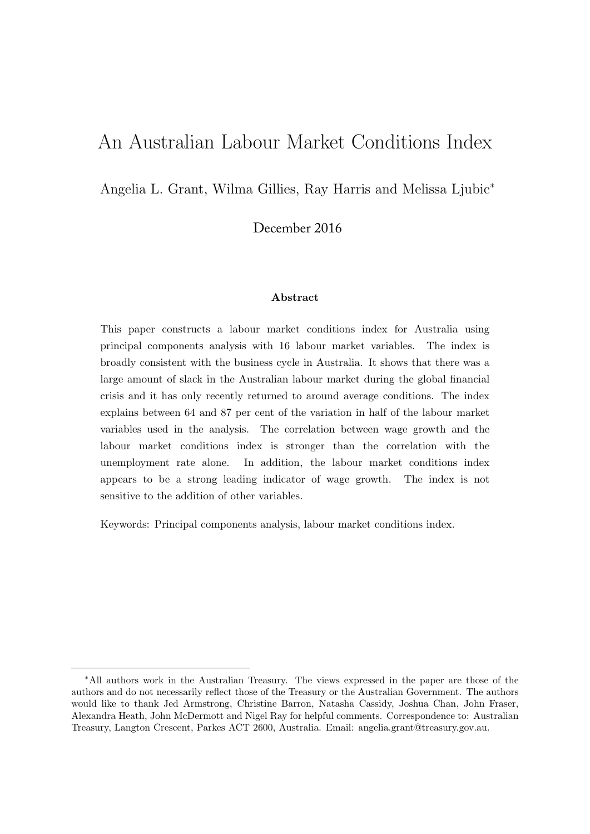# An Australian Labour Market Conditions Index

Angelia L. Grant, Wilma Gillies, Ray Harris and Melissa Ljubic<sup>∗</sup>

December 2016

#### Abstract

This paper constructs a labour market conditions index for Australia using principal components analysis with 16 labour market variables. The index is broadly consistent with the business cycle in Australia. It shows that there was a large amount of slack in the Australian labour market during the global financial crisis and it has only recently returned to around average conditions. The index explains between 64 and 87 per cent of the variation in half of the labour market variables used in the analysis. The correlation between wage growth and the labour market conditions index is stronger than the correlation with the unemployment rate alone. In addition, the labour market conditions index appears to be a strong leading indicator of wage growth. The index is not sensitive to the addition of other variables.

Keywords: Principal components analysis, labour market conditions index.

<sup>∗</sup>All authors work in the Australian Treasury. The views expressed in the paper are those of the authors and do not necessarily reflect those of the Treasury or the Australian Government. The authors would like to thank Jed Armstrong, Christine Barron, Natasha Cassidy, Joshua Chan, John Fraser, Alexandra Heath, John McDermott and Nigel Ray for helpful comments. Correspondence to: Australian Treasury, Langton Crescent, Parkes ACT 2600, Australia. Email: angelia.grant@treasury.gov.au.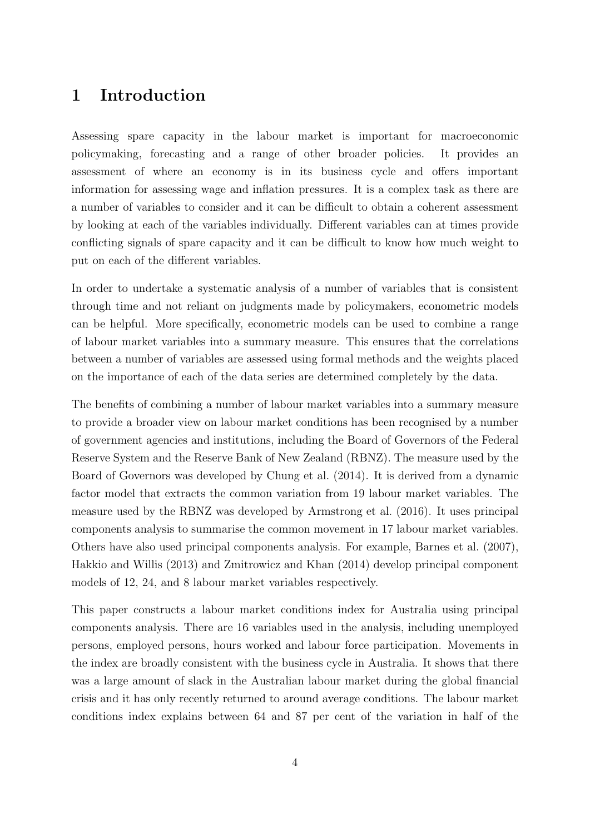### 1 Introduction

Assessing spare capacity in the labour market is important for macroeconomic policymaking, forecasting and a range of other broader policies. It provides an assessment of where an economy is in its business cycle and offers important information for assessing wage and inflation pressures. It is a complex task as there are a number of variables to consider and it can be difficult to obtain a coherent assessment by looking at each of the variables individually. Different variables can at times provide conflicting signals of spare capacity and it can be difficult to know how much weight to put on each of the different variables.

In order to undertake a systematic analysis of a number of variables that is consistent through time and not reliant on judgments made by policymakers, econometric models can be helpful. More specifically, econometric models can be used to combine a range of labour market variables into a summary measure. This ensures that the correlations between a number of variables are assessed using formal methods and the weights placed on the importance of each of the data series are determined completely by the data.

The benefits of combining a number of labour market variables into a summary measure to provide a broader view on labour market conditions has been recognised by a number of government agencies and institutions, including the Board of Governors of the Federal Reserve System and the Reserve Bank of New Zealand (RBNZ). The measure used by the Board of Governors was developed by Chung et al. (2014). It is derived from a dynamic factor model that extracts the common variation from 19 labour market variables. The measure used by the RBNZ was developed by Armstrong et al. (2016). It uses principal components analysis to summarise the common movement in 17 labour market variables. Others have also used principal components analysis. For example, Barnes et al. (2007), Hakkio and Willis (2013) and Zmitrowicz and Khan (2014) develop principal component models of 12, 24, and 8 labour market variables respectively.

This paper constructs a labour market conditions index for Australia using principal components analysis. There are 16 variables used in the analysis, including unemployed persons, employed persons, hours worked and labour force participation. Movements in the index are broadly consistent with the business cycle in Australia. It shows that there was a large amount of slack in the Australian labour market during the global financial crisis and it has only recently returned to around average conditions. The labour market conditions index explains between 64 and 87 per cent of the variation in half of the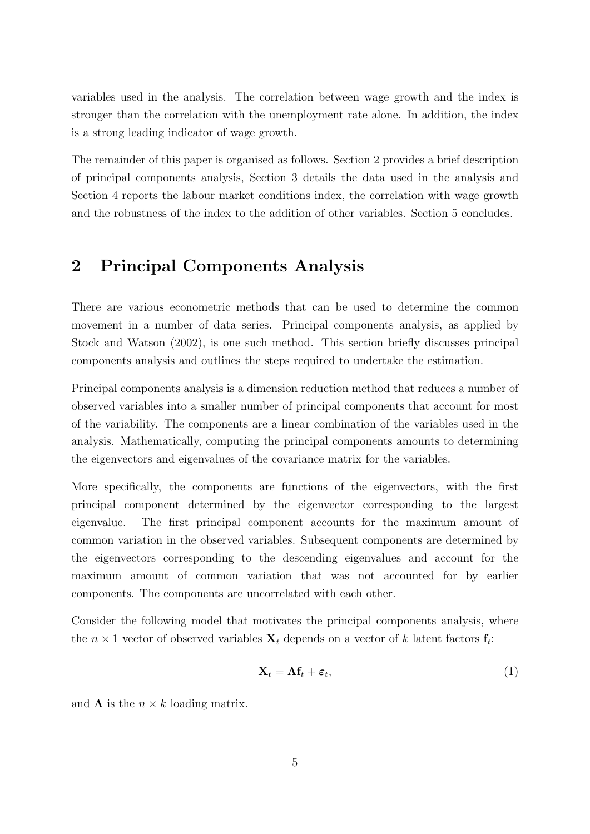variables used in the analysis. The correlation between wage growth and the index is stronger than the correlation with the unemployment rate alone. In addition, the index is a strong leading indicator of wage growth.

The remainder of this paper is organised as follows. Section 2 provides a brief description of principal components analysis, Section 3 details the data used in the analysis and Section 4 reports the labour market conditions index, the correlation with wage growth and the robustness of the index to the addition of other variables. Section 5 concludes.

### 2 Principal Components Analysis

There are various econometric methods that can be used to determine the common movement in a number of data series. Principal components analysis, as applied by Stock and Watson (2002), is one such method. This section briefly discusses principal components analysis and outlines the steps required to undertake the estimation.

Principal components analysis is a dimension reduction method that reduces a number of observed variables into a smaller number of principal components that account for most of the variability. The components are a linear combination of the variables used in the analysis. Mathematically, computing the principal components amounts to determining the eigenvectors and eigenvalues of the covariance matrix for the variables.

More specifically, the components are functions of the eigenvectors, with the first principal component determined by the eigenvector corresponding to the largest eigenvalue. The first principal component accounts for the maximum amount of common variation in the observed variables. Subsequent components are determined by the eigenvectors corresponding to the descending eigenvalues and account for the maximum amount of common variation that was not accounted for by earlier components. The components are uncorrelated with each other.

Consider the following model that motivates the principal components analysis, where the  $n \times 1$  vector of observed variables  $\mathbf{X}_t$  depends on a vector of k latent factors  $\mathbf{f}_t$ :

$$
\mathbf{X}_t = \mathbf{\Lambda} \mathbf{f}_t + \boldsymbol{\varepsilon}_t,\tag{1}
$$

and  $\Lambda$  is the  $n \times k$  loading matrix.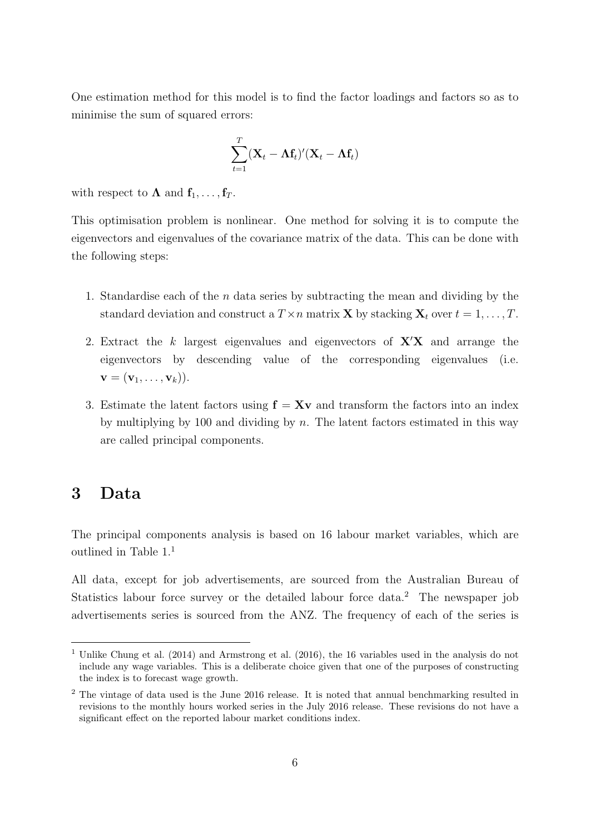One estimation method for this model is to find the factor loadings and factors so as to minimise the sum of squared errors:

$$
\sum_{t=1}^T (\mathbf{X}_t - \mathbf{\Lambda}\mathbf{f}_t)'(\mathbf{X}_t - \mathbf{\Lambda}\mathbf{f}_t)
$$

with respect to  $\Lambda$  and  $f_1, \ldots, f_T$ .

This optimisation problem is nonlinear. One method for solving it is to compute the eigenvectors and eigenvalues of the covariance matrix of the data. This can be done with the following steps:

- 1. Standardise each of the n data series by subtracting the mean and dividing by the standard deviation and construct a  $T \times n$  matrix **X** by stacking  $\mathbf{X}_t$  over  $t = 1, \ldots, T$ .
- 2. Extract the k largest eigenvalues and eigenvectors of  $X'X$  and arrange the eigenvectors by descending value of the corresponding eigenvalues (i.e.  $\mathbf{v} = (\mathbf{v}_1, \dots, \mathbf{v}_k)).$
- 3. Estimate the latent factors using  $f = Xv$  and transform the factors into an index by multiplying by 100 and dividing by  $n$ . The latent factors estimated in this way are called principal components.

### 3 Data

The principal components analysis is based on 16 labour market variables, which are outlined in Table 1.<sup>1</sup>

All data, except for job advertisements, are sourced from the Australian Bureau of Statistics labour force survey or the detailed labour force data.<sup>2</sup> The newspaper job advertisements series is sourced from the ANZ. The frequency of each of the series is

<sup>&</sup>lt;sup>1</sup> Unlike Chung et al. (2014) and Armstrong et al. (2016), the 16 variables used in the analysis do not include any wage variables. This is a deliberate choice given that one of the purposes of constructing the index is to forecast wage growth.

<sup>2</sup> The vintage of data used is the June 2016 release. It is noted that annual benchmarking resulted in revisions to the monthly hours worked series in the July 2016 release. These revisions do not have a significant effect on the reported labour market conditions index.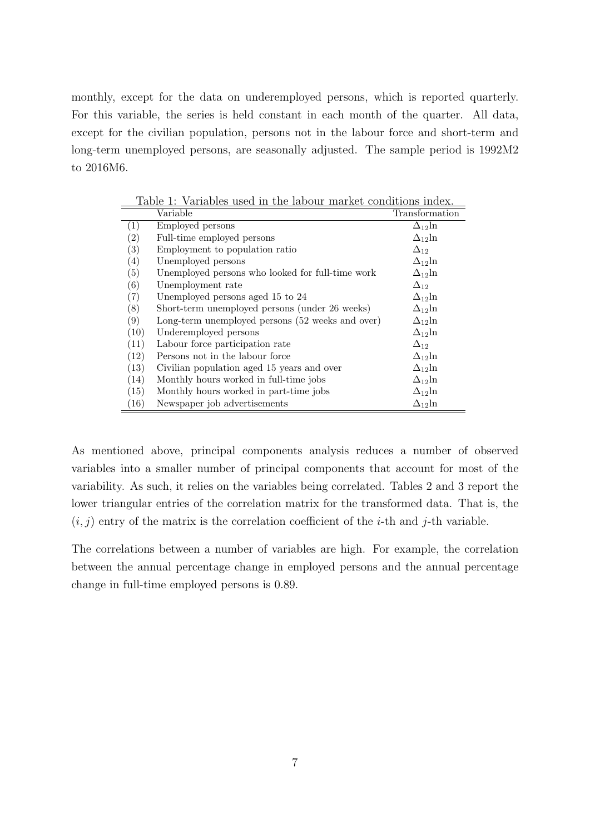monthly, except for the data on underemployed persons, which is reported quarterly. For this variable, the series is held constant in each month of the quarter. All data, except for the civilian population, persons not in the labour force and short-term and long-term unemployed persons, are seasonally adjusted. The sample period is 1992M2 to 2016M6.

| Table 1: Variables used in the labour market conditions index. |                                                  |                  |  |  |  |  |
|----------------------------------------------------------------|--------------------------------------------------|------------------|--|--|--|--|
|                                                                | Variable                                         | Transformation   |  |  |  |  |
| $\left( 1\right)$                                              | Employed persons                                 | $\Delta_{12}$ ln |  |  |  |  |
| $\left( 2\right)$                                              | Full-time employed persons                       | $\Delta_{12}$ ln |  |  |  |  |
| $\left( 3\right)$                                              | Employment to population ratio                   | $\Delta_{12}$    |  |  |  |  |
| $\left( 4\right)$                                              | Unemployed persons                               | $\Delta_{12}$ ln |  |  |  |  |
| $\left( 5\right)$                                              | Unemployed persons who looked for full-time work | $\Delta_{12}$ ln |  |  |  |  |
| (6)                                                            | Unemployment rate                                | $\Delta_{12}$    |  |  |  |  |
| $\left( 7\right)$                                              | Unemployed persons aged 15 to 24                 | $\Delta_{12}$ ln |  |  |  |  |
| (8)                                                            | Short-term unemployed persons (under 26 weeks)   | $\Delta_{12}$ ln |  |  |  |  |
| (9)                                                            | Long-term unemployed persons (52 weeks and over) | $\Delta_{12}$ ln |  |  |  |  |
| (10)                                                           | Underemployed persons                            | $\Delta_{12}$ ln |  |  |  |  |
| (11)                                                           | Labour force participation rate                  | $\Delta_{12}$    |  |  |  |  |
| (12)                                                           | Persons not in the labour force                  | $\Delta_{12}$ ln |  |  |  |  |
| (13)                                                           | Civilian population aged 15 years and over       | $\Delta_{12}$ ln |  |  |  |  |
| (14)                                                           | Monthly hours worked in full-time jobs           | $\Delta_{12}$ ln |  |  |  |  |
| (15)                                                           | Monthly hours worked in part-time jobs           | $\Delta_{12}$ ln |  |  |  |  |
| (16)                                                           | Newspaper job advertisements                     | $\Delta_{12}$ ln |  |  |  |  |

Table 1: Variables used in the labour market conditions index.

As mentioned above, principal components analysis reduces a number of observed variables into a smaller number of principal components that account for most of the variability. As such, it relies on the variables being correlated. Tables 2 and 3 report the lower triangular entries of the correlation matrix for the transformed data. That is, the  $(i, j)$  entry of the matrix is the correlation coefficient of the *i*-th and *j*-th variable.

The correlations between a number of variables are high. For example, the correlation between the annual percentage change in employed persons and the annual percentage change in full-time employed persons is 0.89.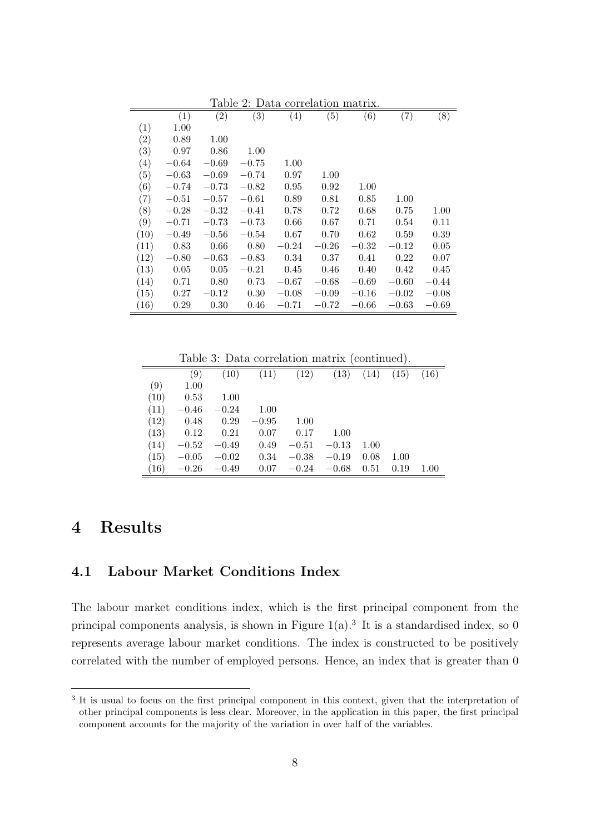| Table 2: Data correlation matrix. |           |                  |                  |           |         |           |         |         |
|-----------------------------------|-----------|------------------|------------------|-----------|---------|-----------|---------|---------|
|                                   | (1)       | $\overline{(2)}$ | $\overline{(3)}$ | (4)       | (5)     | (6)       | (7)     | (8)     |
| (1)                               | 1.00      |                  |                  |           |         |           |         |         |
| (2)                               | 0.89      | 1.00             |                  |           |         |           |         |         |
| (3)                               | 0.97      | 0.86             | 1.00             |           |         |           |         |         |
| (4)                               | $-0.64$   | $-0.69$          | $-0.75$          | 1.00      |         |           |         |         |
| (5)                               | $-0.63\,$ | $-0.69$          | $-0.74$          | 0.97      | 1.00    |           |         |         |
| (6)                               | $-0.74$   | $-0.73$          | $-0.82$          | 0.95      | 0.92    | 1.00      |         |         |
| (7)                               | $-0.51$   | $-0.57$          | $-0.61$          | 0.89      | 0.81    | 0.85      | 1.00    |         |
| (8)                               | $-0.28$   | $-0.32$          | $-0.41$          | 0.78      | 0.72    | 0.68      | 0.75    | 1.00    |
| (9)                               | $-0.71$   | $-0.73$          | $-0.73$          | 0.66      | 0.67    | 0.71      | 0.54    | 0.11    |
| (10)                              | $-0.49$   | $-0.56$          | $-0.54$          | 0.67      | 0.70    | 0.62      | 0.59    | 0.39    |
| (11)                              | 0.83      | 0.66             | 0.80             | $-0.24\,$ | $-0.26$ | $-0.32\,$ | $-0.12$ | 0.05    |
| (12)                              | $-0.80\,$ | $-0.63\,$        | $-0.83$          | 0.34      | 0.37    | 0.41      | 0.22    | 0.07    |
| (13)                              | 0.05      | 0.05             | $-0.21$          | 0.45      | 0.46    | 0.40      | 0.42    | 0.45    |
| (14)                              | 0.71      | 0.80             | 0.73             | $-0.67$   | $-0.68$ | $-0.69$   | $-0.60$ | $-0.44$ |
| (15)                              | 0.27      | $-0.12\,$        | 0.30             | $-0.08$   | $-0.09$ | $-0.16$   | $-0.02$ | $-0.08$ |
| (16)                              | 0.29      | 0.30             | 0.46             | $-0.71$   | $-0.72$ | $-0.66$   | $-0.63$ | $-0.69$ |

Table 3: Data correlation matrix (continued).

|      | (9)     | (10)    | (11)    | (12)    | (13)    | (14) | (15) | (16) |
|------|---------|---------|---------|---------|---------|------|------|------|
| (9)  | 1.00    |         |         |         |         |      |      |      |
| (10) | 0.53    | 1.00    |         |         |         |      |      |      |
| (11) | $-0.46$ | $-0.24$ | 1.00    |         |         |      |      |      |
| (12) | 0.48    | 0.29    | $-0.95$ | 1.00    |         |      |      |      |
| (13) | 0.12    | 0.21    | 0.07    | 0.17    | 1.00    |      |      |      |
| (14) | $-0.52$ | $-0.49$ | 0.49    | $-0.51$ | $-0.13$ | 1.00 |      |      |
| (15) | $-0.05$ | $-0.02$ | 0.34    | $-0.38$ | $-0.19$ | 0.08 | 1.00 |      |
| (16) | $-0.26$ | $-0.49$ | 0.07    | $-0.24$ | $-0.68$ | 0.51 | 0.19 | 1.00 |
|      |         |         |         |         |         |      |      |      |

### 4 Results

#### 4.1 Labour Market Conditions Index

The labour market conditions index, which is the first principal component from the principal components analysis, is shown in Figure  $1(a)$ .<sup>3</sup> It is a standardised index, so 0 represents average labour market conditions. The index is constructed to be positively correlated with the number of employed persons. Hence, an index that is greater than 0

<sup>&</sup>lt;sup>3</sup> It is usual to focus on the first principal component in this context, given that the interpretation of other principal components is less clear. Moreover, in the application in this paper, the first principal component accounts for the majority of the variation in over half of the variables.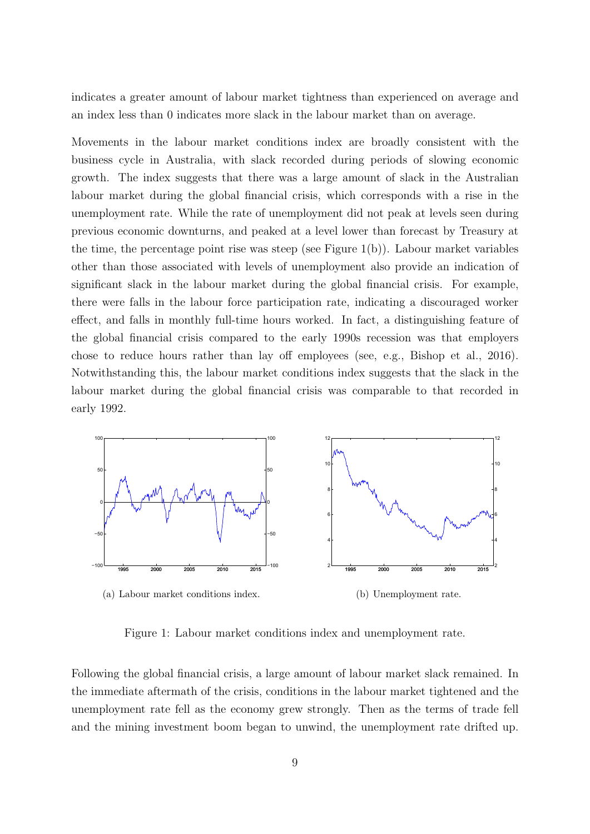indicates a greater amount of labour market tightness than experienced on average and an index less than 0 indicates more slack in the labour market than on average.

Movements in the labour market conditions index are broadly consistent with the business cycle in Australia, with slack recorded during periods of slowing economic growth. The index suggests that there was a large amount of slack in the Australian labour market during the global financial crisis, which corresponds with a rise in the unemployment rate. While the rate of unemployment did not peak at levels seen during previous economic downturns, and peaked at a level lower than forecast by Treasury at the time, the percentage point rise was steep (see Figure  $1(b)$ ). Labour market variables other than those associated with levels of unemployment also provide an indication of significant slack in the labour market during the global financial crisis. For example, there were falls in the labour force participation rate, indicating a discouraged worker effect, and falls in monthly full-time hours worked. In fact, a distinguishing feature of the global financial crisis compared to the early 1990s recession was that employers chose to reduce hours rather than lay off employees (see, e.g., Bishop et al., 2016). Notwithstanding this, the labour market conditions index suggests that the slack in the labour market during the global financial crisis was comparable to that recorded in early 1992.



(a) Labour market conditions index.

(b) Unemployment rate.

Figure 1: Labour market conditions index and unemployment rate.

Following the global financial crisis, a large amount of labour market slack remained. In the immediate aftermath of the crisis, conditions in the labour market tightened and the unemployment rate fell as the economy grew strongly. Then as the terms of trade fell and the mining investment boom began to unwind, the unemployment rate drifted up.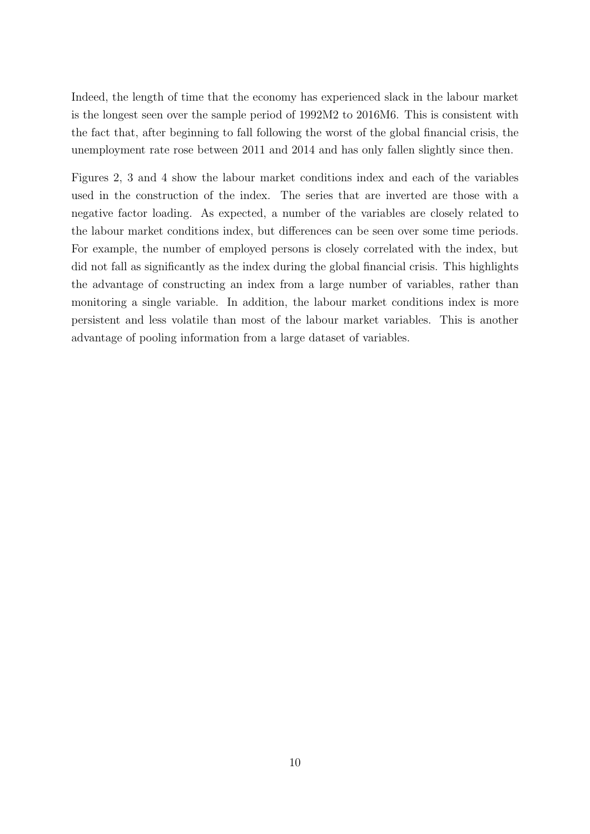Indeed, the length of time that the economy has experienced slack in the labour market is the longest seen over the sample period of 1992M2 to 2016M6. This is consistent with the fact that, after beginning to fall following the worst of the global financial crisis, the unemployment rate rose between 2011 and 2014 and has only fallen slightly since then.

Figures 2, 3 and 4 show the labour market conditions index and each of the variables used in the construction of the index. The series that are inverted are those with a negative factor loading. As expected, a number of the variables are closely related to the labour market conditions index, but differences can be seen over some time periods. For example, the number of employed persons is closely correlated with the index, but did not fall as significantly as the index during the global financial crisis. This highlights the advantage of constructing an index from a large number of variables, rather than monitoring a single variable. In addition, the labour market conditions index is more persistent and less volatile than most of the labour market variables. This is another advantage of pooling information from a large dataset of variables.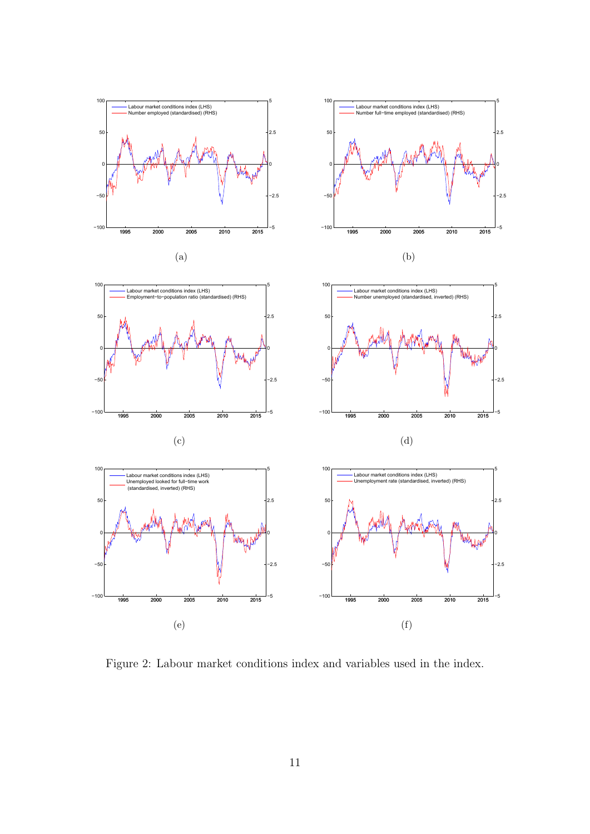

Figure 2: Labour market conditions index and variables used in the index.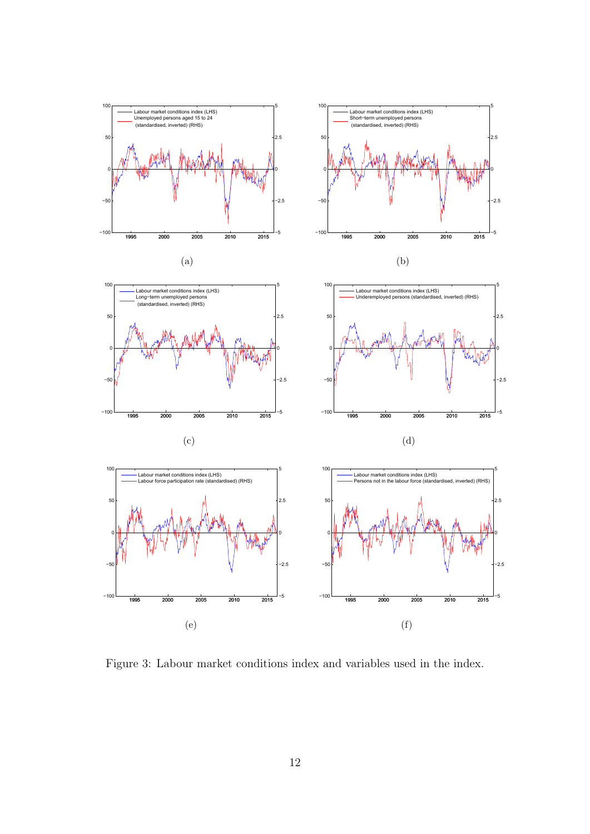

Figure 3: Labour market conditions index and variables used in the index.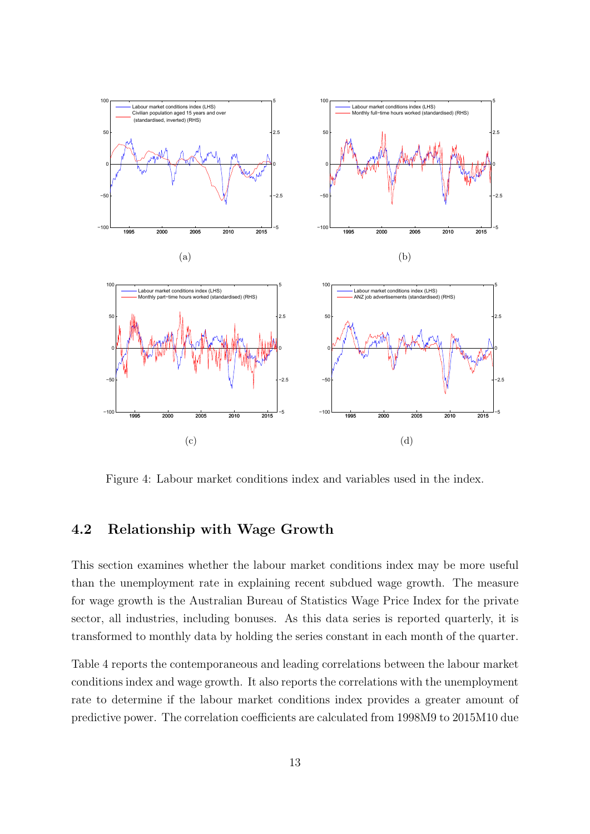

Figure 4: Labour market conditions index and variables used in the index.

#### 4.2 Relationship with Wage Growth

This section examines whether the labour market conditions index may be more useful than the unemployment rate in explaining recent subdued wage growth. The measure for wage growth is the Australian Bureau of Statistics Wage Price Index for the private sector, all industries, including bonuses. As this data series is reported quarterly, it is transformed to monthly data by holding the series constant in each month of the quarter.

Table 4 reports the contemporaneous and leading correlations between the labour market conditions index and wage growth. It also reports the correlations with the unemployment rate to determine if the labour market conditions index provides a greater amount of predictive power. The correlation coefficients are calculated from 1998M9 to 2015M10 due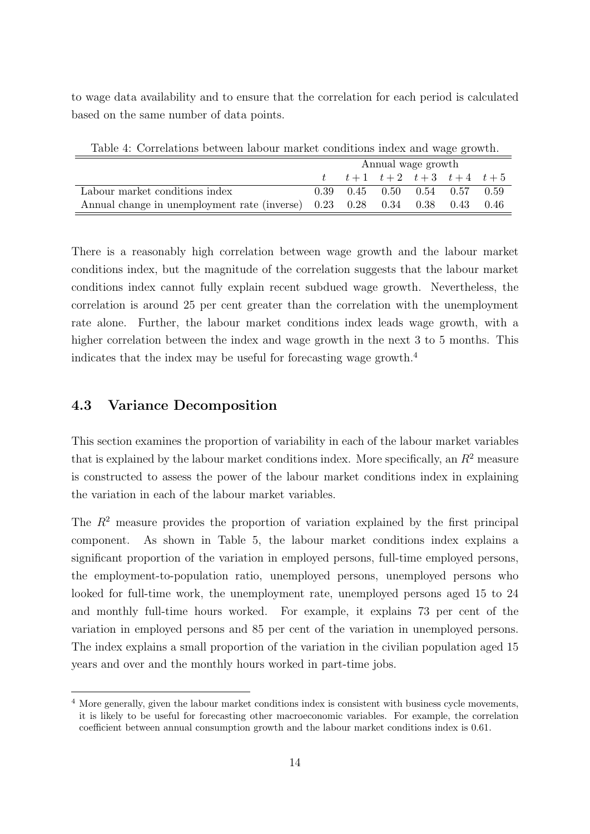to wage data availability and to ensure that the correlation for each period is calculated based on the same number of data points.

| Table 4. Correlations between fabour market contrituons muex and wage growth. |                    |  |  |  |                                           |      |
|-------------------------------------------------------------------------------|--------------------|--|--|--|-------------------------------------------|------|
|                                                                               | Annual wage growth |  |  |  |                                           |      |
|                                                                               |                    |  |  |  | $t$ $t+1$ $t+2$ $t+3$ $t+4$ $t+5$         |      |
| Labour market conditions index                                                |                    |  |  |  | $0.39$ $0.45$ $0.50$ $0.54$ $0.57$ $0.59$ |      |
| Annual change in unemployment rate (inverse) 0.23 0.28 0.34 0.38 0.43         |                    |  |  |  |                                           | 0.46 |

Table 4: Correlations between labour market conditions index and wage growth.

There is a reasonably high correlation between wage growth and the labour market conditions index, but the magnitude of the correlation suggests that the labour market conditions index cannot fully explain recent subdued wage growth. Nevertheless, the correlation is around 25 per cent greater than the correlation with the unemployment rate alone. Further, the labour market conditions index leads wage growth, with a higher correlation between the index and wage growth in the next 3 to 5 months. This indicates that the index may be useful for forecasting wage growth.<sup>4</sup>

#### 4.3 Variance Decomposition

This section examines the proportion of variability in each of the labour market variables that is explained by the labour market conditions index. More specifically, an  $R^2$  measure is constructed to assess the power of the labour market conditions index in explaining the variation in each of the labour market variables.

The  $R<sup>2</sup>$  measure provides the proportion of variation explained by the first principal component. As shown in Table 5, the labour market conditions index explains a significant proportion of the variation in employed persons, full-time employed persons, the employment-to-population ratio, unemployed persons, unemployed persons who looked for full-time work, the unemployment rate, unemployed persons aged 15 to 24 and monthly full-time hours worked. For example, it explains 73 per cent of the variation in employed persons and 85 per cent of the variation in unemployed persons. The index explains a small proportion of the variation in the civilian population aged 15 years and over and the monthly hours worked in part-time jobs.

<sup>&</sup>lt;sup>4</sup> More generally, given the labour market conditions index is consistent with business cycle movements, it is likely to be useful for forecasting other macroeconomic variables. For example, the correlation coefficient between annual consumption growth and the labour market conditions index is 0.61.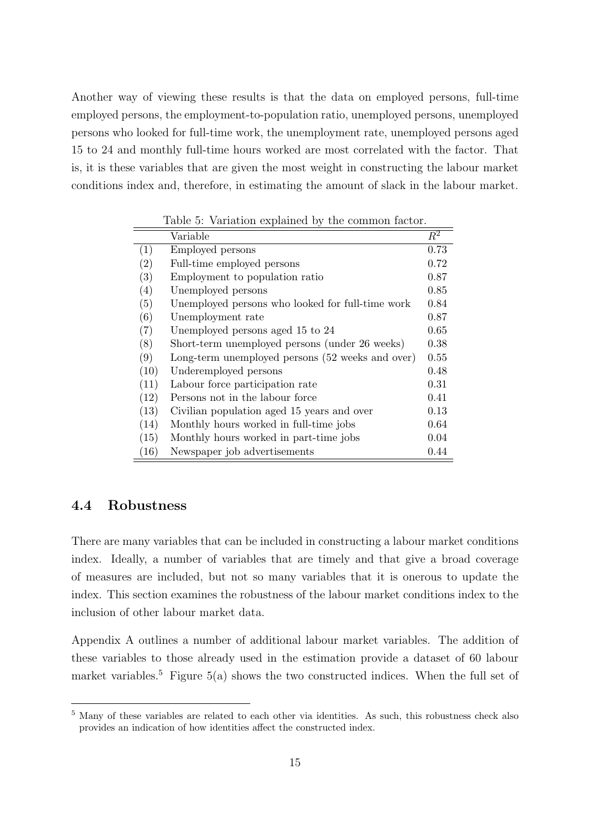Another way of viewing these results is that the data on employed persons, full-time employed persons, the employment-to-population ratio, unemployed persons, unemployed persons who looked for full-time work, the unemployment rate, unemployed persons aged 15 to 24 and monthly full-time hours worked are most correlated with the factor. That is, it is these variables that are given the most weight in constructing the labour market conditions index and, therefore, in estimating the amount of slack in the labour market.

|      | rapic 9. Variation explained by the common factor. |                  |
|------|----------------------------------------------------|------------------|
|      | Variable                                           | $\overline{R^2}$ |
| (1)  | Employed persons                                   | 0.73             |
| (2)  | Full-time employed persons                         | 0.72             |
| (3)  | Employment to population ratio                     | 0.87             |
| (4)  | Unemployed persons                                 | 0.85             |
| (5)  | Unemployed persons who looked for full-time work   | 0.84             |
| (6)  | Unemployment rate                                  | 0.87             |
| (7)  | Unemployed persons aged 15 to 24                   | 0.65             |
| (8)  | Short-term unemployed persons (under 26 weeks)     | 0.38             |
| (9)  | Long-term unemployed persons (52 weeks and over)   | 0.55             |
| (10) | Underemployed persons                              | 0.48             |
| (11) | Labour force participation rate                    | 0.31             |
| (12) | Persons not in the labour force                    | 0.41             |
| (13) | Civilian population aged 15 years and over         | 0.13             |
| (14) | Monthly hours worked in full-time jobs             | 0.64             |
| (15) | Monthly hours worked in part-time jobs             | 0.04             |
| (16) | Newspaper job advertisements                       | 0.44             |

Table 5: Variation explained by the common factor.

#### 4.4 Robustness

There are many variables that can be included in constructing a labour market conditions index. Ideally, a number of variables that are timely and that give a broad coverage of measures are included, but not so many variables that it is onerous to update the index. This section examines the robustness of the labour market conditions index to the inclusion of other labour market data.

Appendix A outlines a number of additional labour market variables. The addition of these variables to those already used in the estimation provide a dataset of 60 labour market variables.<sup>5</sup> Figure 5(a) shows the two constructed indices. When the full set of

<sup>5</sup> Many of these variables are related to each other via identities. As such, this robustness check also provides an indication of how identities affect the constructed index.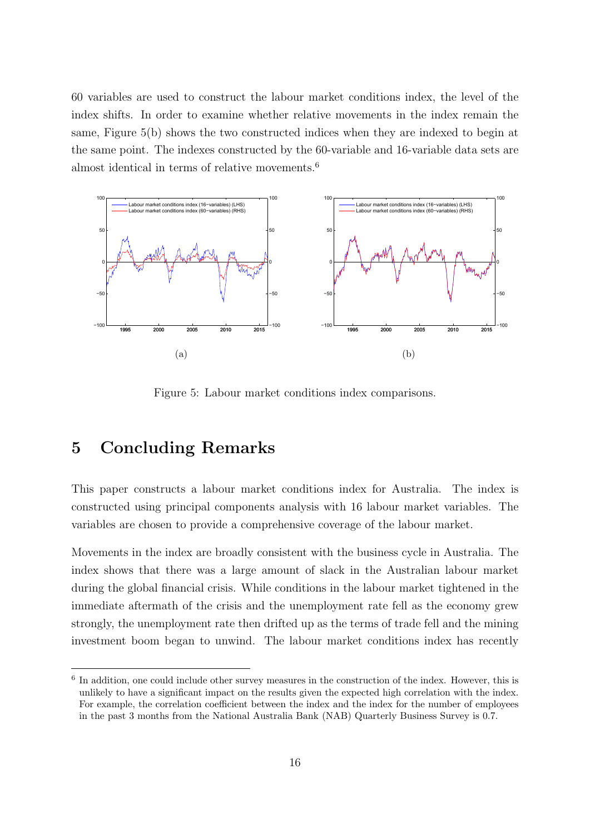60 variables are used to construct the labour market conditions index, the level of the index shifts. In order to examine whether relative movements in the index remain the same, Figure 5(b) shows the two constructed indices when they are indexed to begin at the same point. The indexes constructed by the 60-variable and 16-variable data sets are almost identical in terms of relative movements.<sup>6</sup>



Figure 5: Labour market conditions index comparisons.

## 5 Concluding Remarks

This paper constructs a labour market conditions index for Australia. The index is constructed using principal components analysis with 16 labour market variables. The variables are chosen to provide a comprehensive coverage of the labour market.

Movements in the index are broadly consistent with the business cycle in Australia. The index shows that there was a large amount of slack in the Australian labour market during the global financial crisis. While conditions in the labour market tightened in the immediate aftermath of the crisis and the unemployment rate fell as the economy grew strongly, the unemployment rate then drifted up as the terms of trade fell and the mining investment boom began to unwind. The labour market conditions index has recently

<sup>&</sup>lt;sup>6</sup> In addition, one could include other survey measures in the construction of the index. However, this is unlikely to have a significant impact on the results given the expected high correlation with the index. For example, the correlation coefficient between the index and the index for the number of employees in the past 3 months from the National Australia Bank (NAB) Quarterly Business Survey is 0.7.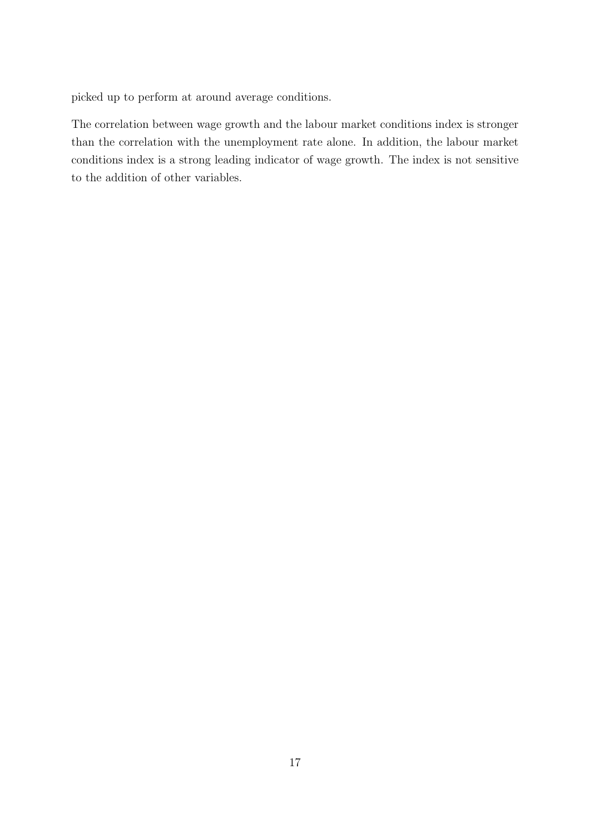picked up to perform at around average conditions.

The correlation between wage growth and the labour market conditions index is stronger than the correlation with the unemployment rate alone. In addition, the labour market conditions index is a strong leading indicator of wage growth. The index is not sensitive to the addition of other variables.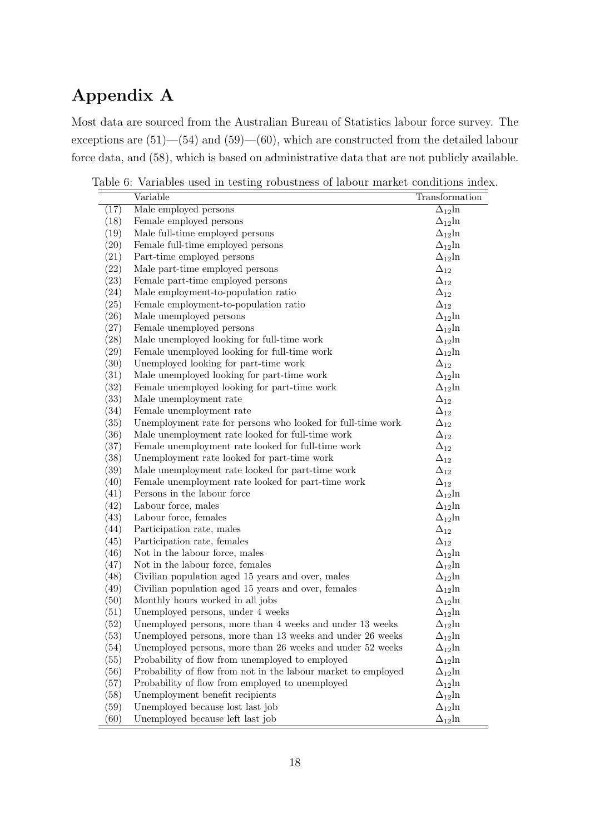# Appendix A

Most data are sourced from the Australian Bureau of Statistics labour force survey. The exceptions are (51)—(54) and (59)—(60), which are constructed from the detailed labour force data, and (58), which is based on administrative data that are not publicly available.

Table 6: Variables used in testing robustness of labour market conditions index.

|      | Variable                                                      | Transformation   |
|------|---------------------------------------------------------------|------------------|
| (17) | Male employed persons                                         | $\Delta_{12}$ ln |
| (18) | Female employed persons                                       | $\Delta_{12}$ ln |
| (19) | Male full-time employed persons                               | $\Delta_{12}$ ln |
| (20) | Female full-time employed persons                             | $\Delta_{12}$ ln |
| (21) | Part-time employed persons                                    | $\Delta_{12}$ ln |
| (22) | Male part-time employed persons                               | $\Delta_{12}$    |
| (23) | Female part-time employed persons                             | $\Delta_{12}$    |
| (24) | Male employment-to-population ratio                           | $\Delta_{12}$    |
| (25) | Female employment-to-population ratio                         | $\Delta_{12}$    |
| (26) | Male unemployed persons                                       | $\Delta_{12}$ ln |
| (27) | Female unemployed persons                                     | $\Delta_{12}$ ln |
| (28) | Male unemployed looking for full-time work                    | $\Delta_{12}$ ln |
| (29) | Female unemployed looking for full-time work                  | $\Delta_{12}$ ln |
| (30) | Unemployed looking for part-time work                         | $\Delta_{12}$    |
| (31) | Male unemployed looking for part-time work                    | $\Delta_{12}$ ln |
| (32) | Female unemployed looking for part-time work                  | $\Delta_{12}$ ln |
| (33) | Male unemployment rate                                        | $\Delta_{12}$    |
| (34) | Female unemployment rate                                      | $\Delta_{12}$    |
| (35) | Unemployment rate for persons who looked for full-time work   | $\Delta_{12}$    |
| (36) | Male unemployment rate looked for full-time work              | $\Delta_{12}$    |
| (37) | Female unemployment rate looked for full-time work            | $\Delta_{12}$    |
| (38) | Unemployment rate looked for part-time work                   | $\Delta_{12}$    |
| (39) | Male unemployment rate looked for part-time work              | $\Delta_{12}$    |
| (40) | Female unemployment rate looked for part-time work            | $\Delta_{12}$    |
| (41) | Persons in the labour force                                   | $\Delta_{12}$ ln |
| (42) | Labour force, males                                           | $\Delta_{12}$ ln |
| (43) | Labour force, females                                         | $\Delta_{12}$ ln |
| (44) | Participation rate, males                                     | $\Delta_{12}$    |
| (45) | Participation rate, females                                   | $\Delta_{12}$    |
| (46) | Not in the labour force, males                                | $\Delta_{12}$ ln |
| (47) | Not in the labour force, females                              | $\Delta_{12}$ ln |
| (48) | Civilian population aged 15 years and over, males             | $\Delta_{12}$ ln |
| (49) | Civilian population aged 15 years and over, females           | $\Delta_{12}$ ln |
| (50) | Monthly hours worked in all jobs                              | $\Delta_{12}$ ln |
| (51) | Unemployed persons, under 4 weeks                             | $\Delta_{12}$ ln |
| (52) | Unemployed persons, more than 4 weeks and under 13 weeks      | $\Delta_{12}$ ln |
| (53) | Unemployed persons, more than 13 weeks and under 26 weeks     | $\Delta_{12}$ ln |
| (54) | Unemployed persons, more than 26 weeks and under 52 weeks     | $\Delta_{12}$ ln |
| (55) | Probability of flow from unemployed to employed               | $\Delta_{12}$ ln |
| (56) | Probability of flow from not in the labour market to employed | $\Delta_{12}$ ln |
| (57) | Probability of flow from employed to unemployed               | $\Delta_{12}$ ln |
| (58) | Unemployment benefit recipients                               | $\Delta_{12}$ ln |
| (59) | Unemployed because lost last job                              | $\Delta_{12}$ ln |
| (60) | Unemployed because left last job                              | $\Delta_{12}$ ln |